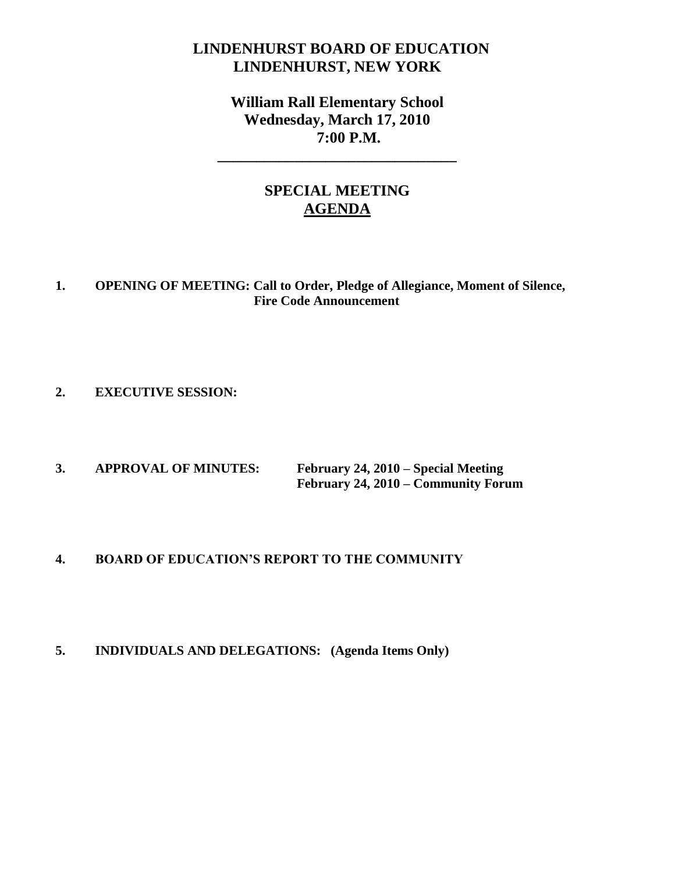## **LINDENHURST BOARD OF EDUCATION LINDENHURST, NEW YORK**

**William Rall Elementary School Wednesday, March 17, 2010 7:00 P.M.**

**\_\_\_\_\_\_\_\_\_\_\_\_\_\_\_\_\_\_\_\_\_\_\_\_\_\_\_\_\_\_\_**

## **SPECIAL MEETING AGENDA**

#### **1. OPENING OF MEETING: Call to Order, Pledge of Allegiance, Moment of Silence, Fire Code Announcement**

#### **2. EXECUTIVE SESSION:**

**3. APPROVAL OF MINUTES: February 24, 2010 – Special Meeting February 24, 2010 – Community Forum**

#### **4. BOARD OF EDUCATION'S REPORT TO THE COMMUNITY**

#### **5. INDIVIDUALS AND DELEGATIONS: (Agenda Items Only)**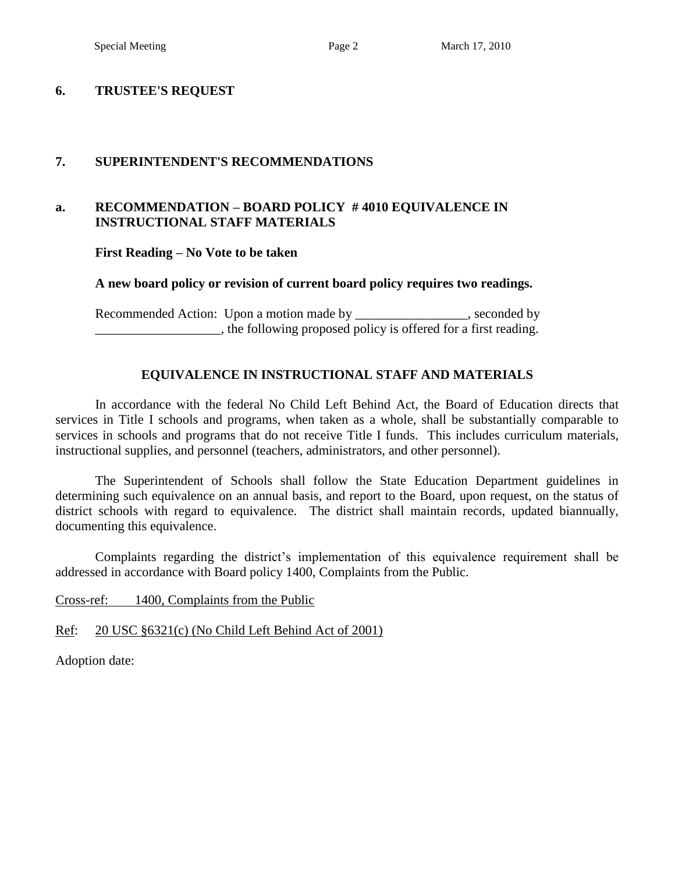#### **6. TRUSTEE'S REQUEST**

#### **7. SUPERINTENDENT'S RECOMMENDATIONS**

#### **a. RECOMMENDATION – BOARD POLICY # 4010 EQUIVALENCE IN INSTRUCTIONAL STAFF MATERIALS**

**First Reading – No Vote to be taken**

#### **A new board policy or revision of current board policy requires two readings.**

Recommended Action: Upon a motion made by \_\_\_\_\_\_\_\_\_\_\_\_\_\_\_\_, seconded by \_\_\_\_\_\_\_\_\_\_\_\_\_\_\_\_\_\_\_, the following proposed policy is offered for a first reading.

#### **EQUIVALENCE IN INSTRUCTIONAL STAFF AND MATERIALS**

In accordance with the federal No Child Left Behind Act, the Board of Education directs that services in Title I schools and programs, when taken as a whole, shall be substantially comparable to services in schools and programs that do not receive Title I funds. This includes curriculum materials, instructional supplies, and personnel (teachers, administrators, and other personnel).

The Superintendent of Schools shall follow the State Education Department guidelines in determining such equivalence on an annual basis, and report to the Board, upon request, on the status of district schools with regard to equivalence. The district shall maintain records, updated biannually, documenting this equivalence.

Complaints regarding the district's implementation of this equivalence requirement shall be addressed in accordance with Board policy 1400, Complaints from the Public.

Cross-ref: 1400, Complaints from the Public

Ref: 20 USC §6321(c) (No Child Left Behind Act of 2001)

Adoption date: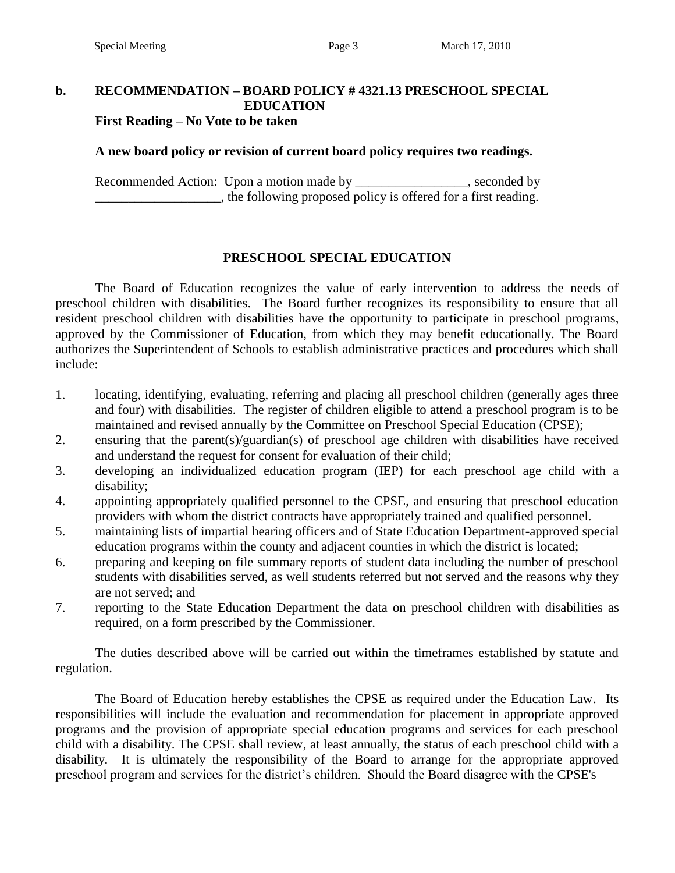## **b. RECOMMENDATION – BOARD POLICY # 4321.13 PRESCHOOL SPECIAL EDUCATION**

**First Reading – No Vote to be taken**

#### **A new board policy or revision of current board policy requires two readings.**

Recommended Action: Upon a motion made by \_\_\_\_\_\_\_\_\_\_\_\_\_\_\_, seconded by \_\_\_\_\_\_\_\_\_\_\_\_\_\_\_\_\_\_\_, the following proposed policy is offered for a first reading.

#### **PRESCHOOL SPECIAL EDUCATION**

The Board of Education recognizes the value of early intervention to address the needs of preschool children with disabilities. The Board further recognizes its responsibility to ensure that all resident preschool children with disabilities have the opportunity to participate in preschool programs, approved by the Commissioner of Education, from which they may benefit educationally. The Board authorizes the Superintendent of Schools to establish administrative practices and procedures which shall include:

- 1. locating, identifying, evaluating, referring and placing all preschool children (generally ages three and four) with disabilities. The register of children eligible to attend a preschool program is to be maintained and revised annually by the Committee on Preschool Special Education (CPSE);
- 2. ensuring that the parent(s)/guardian(s) of preschool age children with disabilities have received and understand the request for consent for evaluation of their child;
- 3. developing an individualized education program (IEP) for each preschool age child with a disability;
- 4. appointing appropriately qualified personnel to the CPSE, and ensuring that preschool education providers with whom the district contracts have appropriately trained and qualified personnel.
- 5. maintaining lists of impartial hearing officers and of State Education Department-approved special education programs within the county and adjacent counties in which the district is located;
- 6. preparing and keeping on file summary reports of student data including the number of preschool students with disabilities served, as well students referred but not served and the reasons why they are not served; and
- 7. reporting to the State Education Department the data on preschool children with disabilities as required, on a form prescribed by the Commissioner.

The duties described above will be carried out within the timeframes established by statute and regulation.

The Board of Education hereby establishes the CPSE as required under the Education Law. Its responsibilities will include the evaluation and recommendation for placement in appropriate approved programs and the provision of appropriate special education programs and services for each preschool child with a disability. The CPSE shall review, at least annually, the status of each preschool child with a disability. It is ultimately the responsibility of the Board to arrange for the appropriate approved preschool program and services for the district's children. Should the Board disagree with the CPSE's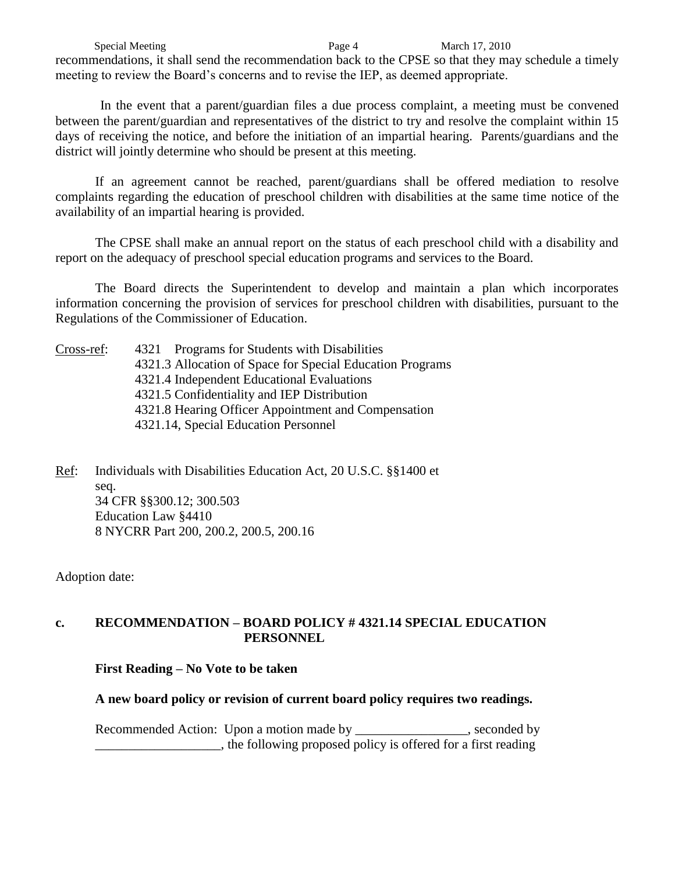Special Meeting **Page 4** March 17, 2010 recommendations, it shall send the recommendation back to the CPSE so that they may schedule a timely meeting to review the Board's concerns and to revise the IEP, as deemed appropriate.

In the event that a parent/guardian files a due process complaint, a meeting must be convened between the parent/guardian and representatives of the district to try and resolve the complaint within 15 days of receiving the notice, and before the initiation of an impartial hearing. Parents/guardians and the district will jointly determine who should be present at this meeting.

If an agreement cannot be reached, parent/guardians shall be offered mediation to resolve complaints regarding the education of preschool children with disabilities at the same time notice of the availability of an impartial hearing is provided.

The CPSE shall make an annual report on the status of each preschool child with a disability and report on the adequacy of preschool special education programs and services to the Board.

The Board directs the Superintendent to develop and maintain a plan which incorporates information concerning the provision of services for preschool children with disabilities, pursuant to the Regulations of the Commissioner of Education.

| Cross-ref: | 4321 Programs for Students with Disabilities              |  |  |  |
|------------|-----------------------------------------------------------|--|--|--|
|            | 4321.3 Allocation of Space for Special Education Programs |  |  |  |
|            | 4321.4 Independent Educational Evaluations                |  |  |  |
|            | 4321.5 Confidentiality and IEP Distribution               |  |  |  |
|            | 4321.8 Hearing Officer Appointment and Compensation       |  |  |  |
|            | 4321.14, Special Education Personnel                      |  |  |  |

Ref: Individuals with Disabilities Education Act, 20 U.S.C. §§1400 et seq. 34 CFR §§300.12; 300.503 Education Law §4410 8 NYCRR Part 200, 200.2, 200.5, 200.16

Adoption date:

#### **c. RECOMMENDATION – BOARD POLICY # 4321.14 SPECIAL EDUCATION PERSONNEL**

**First Reading – No Vote to be taken**

#### **A new board policy or revision of current board policy requires two readings.**

Recommended Action: Upon a motion made by seconded by seconded by \_\_\_\_\_\_\_\_\_\_\_\_\_\_\_\_\_\_\_, the following proposed policy is offered for a first reading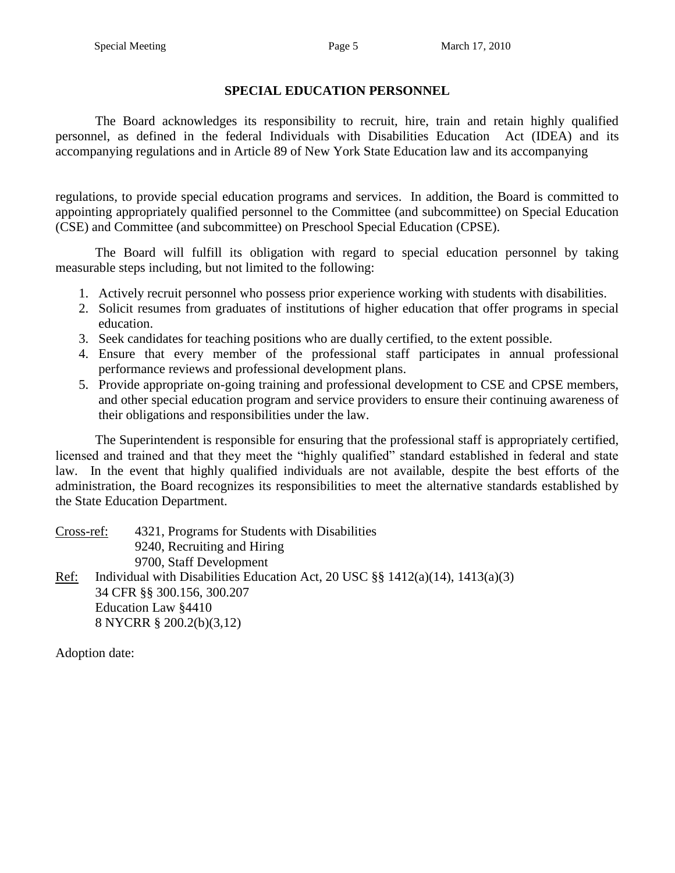#### **SPECIAL EDUCATION PERSONNEL**

The Board acknowledges its responsibility to recruit, hire, train and retain highly qualified personnel, as defined in the federal Individuals with Disabilities Education Act (IDEA) and its accompanying regulations and in Article 89 of New York State Education law and its accompanying

regulations, to provide special education programs and services. In addition, the Board is committed to appointing appropriately qualified personnel to the Committee (and subcommittee) on Special Education (CSE) and Committee (and subcommittee) on Preschool Special Education (CPSE).

The Board will fulfill its obligation with regard to special education personnel by taking measurable steps including, but not limited to the following:

- 1. Actively recruit personnel who possess prior experience working with students with disabilities.
- 2. Solicit resumes from graduates of institutions of higher education that offer programs in special education.
- 3. Seek candidates for teaching positions who are dually certified, to the extent possible.
- 4. Ensure that every member of the professional staff participates in annual professional performance reviews and professional development plans.
- 5. Provide appropriate on-going training and professional development to CSE and CPSE members, and other special education program and service providers to ensure their continuing awareness of their obligations and responsibilities under the law.

The Superintendent is responsible for ensuring that the professional staff is appropriately certified, licensed and trained and that they meet the "highly qualified" standard established in federal and state law. In the event that highly qualified individuals are not available, despite the best efforts of the administration, the Board recognizes its responsibilities to meet the alternative standards established by the State Education Department.

Cross-ref: 4321, Programs for Students with Disabilities 9240, Recruiting and Hiring 9700, Staff Development Ref: Individual with Disabilities Education Act, 20 USC  $\S$ § 1412(a)(14), 1413(a)(3) 34 CFR §§ 300.156, 300.207 Education Law §4410 8 NYCRR § 200.2(b)(3,12)

Adoption date: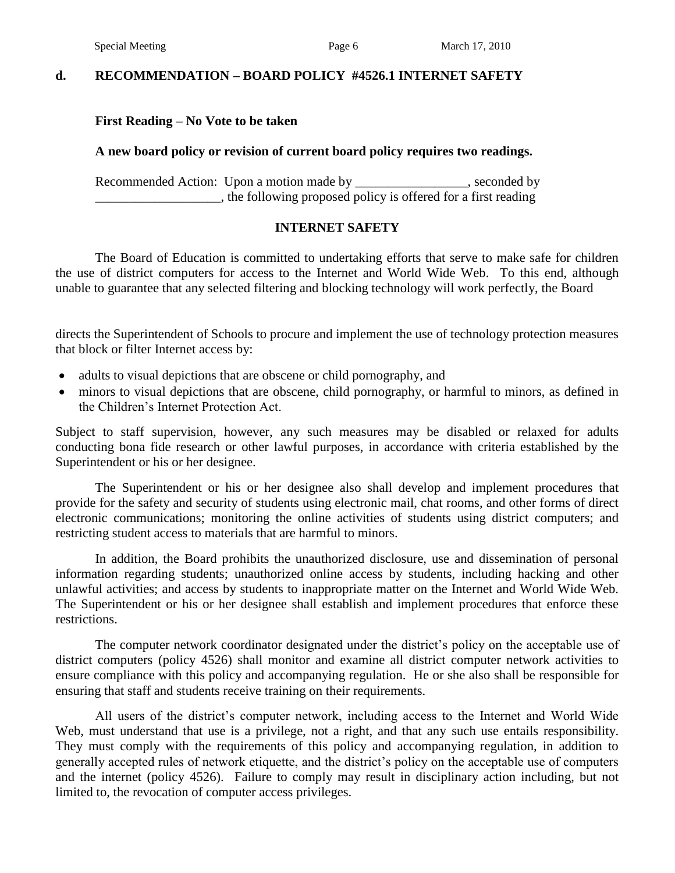#### **d. RECOMMENDATION – BOARD POLICY #4526.1 INTERNET SAFETY**

#### **First Reading – No Vote to be taken**

#### **A new board policy or revision of current board policy requires two readings.**

Recommended Action: Upon a motion made by \_\_\_\_\_\_\_\_\_\_\_\_\_\_\_\_, seconded by \_\_\_\_\_\_\_\_\_\_\_\_\_\_\_\_\_\_\_, the following proposed policy is offered for a first reading

#### **INTERNET SAFETY**

The Board of Education is committed to undertaking efforts that serve to make safe for children the use of district computers for access to the Internet and World Wide Web. To this end, although unable to guarantee that any selected filtering and blocking technology will work perfectly, the Board

directs the Superintendent of Schools to procure and implement the use of technology protection measures that block or filter Internet access by:

- adults to visual depictions that are obscene or child pornography, and
- minors to visual depictions that are obscene, child pornography, or harmful to minors, as defined in the Children's Internet Protection Act.

Subject to staff supervision, however, any such measures may be disabled or relaxed for adults conducting bona fide research or other lawful purposes, in accordance with criteria established by the Superintendent or his or her designee.

The Superintendent or his or her designee also shall develop and implement procedures that provide for the safety and security of students using electronic mail, chat rooms, and other forms of direct electronic communications; monitoring the online activities of students using district computers; and restricting student access to materials that are harmful to minors.

In addition, the Board prohibits the unauthorized disclosure, use and dissemination of personal information regarding students; unauthorized online access by students, including hacking and other unlawful activities; and access by students to inappropriate matter on the Internet and World Wide Web. The Superintendent or his or her designee shall establish and implement procedures that enforce these restrictions.

The computer network coordinator designated under the district's policy on the acceptable use of district computers (policy 4526) shall monitor and examine all district computer network activities to ensure compliance with this policy and accompanying regulation. He or she also shall be responsible for ensuring that staff and students receive training on their requirements.

All users of the district's computer network, including access to the Internet and World Wide Web, must understand that use is a privilege, not a right, and that any such use entails responsibility. They must comply with the requirements of this policy and accompanying regulation, in addition to generally accepted rules of network etiquette, and the district's policy on the acceptable use of computers and the internet (policy 4526). Failure to comply may result in disciplinary action including, but not limited to, the revocation of computer access privileges.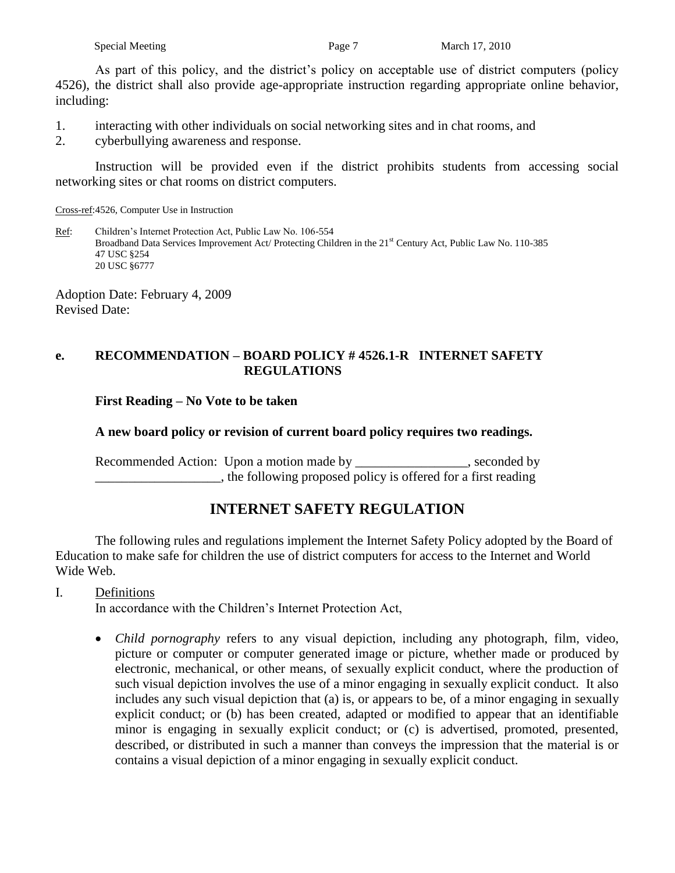|  | Special Meeting |
|--|-----------------|
|  |                 |

As part of this policy, and the district's policy on acceptable use of district computers (policy 4526), the district shall also provide age-appropriate instruction regarding appropriate online behavior, including:

1. interacting with other individuals on social networking sites and in chat rooms, and

2. cyberbullying awareness and response.

Instruction will be provided even if the district prohibits students from accessing social networking sites or chat rooms on district computers.

Cross-ref:4526, Computer Use in Instruction

Ref: Children's Internet Protection Act, Public Law No. 106-554 Broadband Data Services Improvement Act/ Protecting Children in the 21<sup>st</sup> Century Act, Public Law No. 110-385 47 USC §254 20 USC §6777

Adoption Date: February 4, 2009 Revised Date:

#### **e. RECOMMENDATION – BOARD POLICY # 4526.1-R INTERNET SAFETY REGULATIONS**

#### **First Reading – No Vote to be taken**

#### **A new board policy or revision of current board policy requires two readings.**

Recommended Action: Upon a motion made by \_\_\_\_\_\_\_\_\_\_\_\_\_\_, seconded by \_\_\_\_\_\_\_\_\_\_\_\_\_\_\_\_\_\_\_, the following proposed policy is offered for a first reading

## **INTERNET SAFETY REGULATION**

The following rules and regulations implement the Internet Safety Policy adopted by the Board of Education to make safe for children the use of district computers for access to the Internet and World Wide Web.

#### I. Definitions

In accordance with the Children's Internet Protection Act,

 *Child pornography* refers to any visual depiction, including any photograph, film, video, picture or computer or computer generated image or picture, whether made or produced by electronic, mechanical, or other means, of sexually explicit conduct, where the production of such visual depiction involves the use of a minor engaging in sexually explicit conduct. It also includes any such visual depiction that (a) is, or appears to be, of a minor engaging in sexually explicit conduct; or (b) has been created, adapted or modified to appear that an identifiable minor is engaging in sexually explicit conduct; or (c) is advertised, promoted, presented, described, or distributed in such a manner than conveys the impression that the material is or contains a visual depiction of a minor engaging in sexually explicit conduct.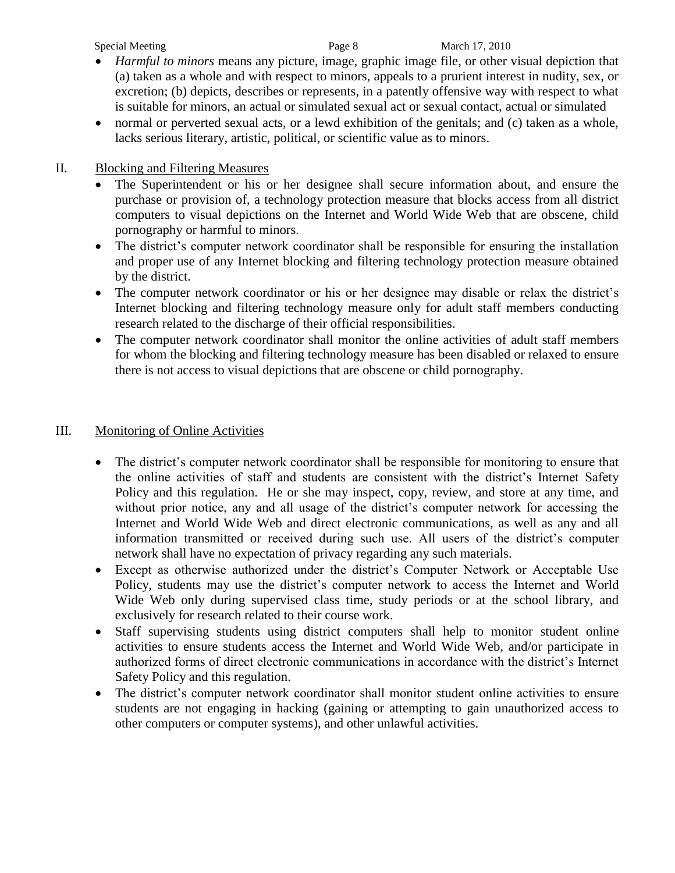Special Meeting **Page 8** March 17, 2010

- *Harmful to minors* means any picture, image, graphic image file, or other visual depiction that (a) taken as a whole and with respect to minors, appeals to a prurient interest in nudity, sex, or excretion; (b) depicts, describes or represents, in a patently offensive way with respect to what is suitable for minors, an actual or simulated sexual act or sexual contact, actual or simulated
- normal or perverted sexual acts, or a lewd exhibition of the genitals; and (c) taken as a whole, lacks serious literary, artistic, political, or scientific value as to minors.

#### II. Blocking and Filtering Measures

- The Superintendent or his or her designee shall secure information about, and ensure the purchase or provision of, a technology protection measure that blocks access from all district computers to visual depictions on the Internet and World Wide Web that are obscene, child pornography or harmful to minors.
- The district's computer network coordinator shall be responsible for ensuring the installation and proper use of any Internet blocking and filtering technology protection measure obtained by the district.
- The computer network coordinator or his or her designee may disable or relax the district's Internet blocking and filtering technology measure only for adult staff members conducting research related to the discharge of their official responsibilities.
- The computer network coordinator shall monitor the online activities of adult staff members for whom the blocking and filtering technology measure has been disabled or relaxed to ensure there is not access to visual depictions that are obscene or child pornography.

#### III. Monitoring of Online Activities

- The district's computer network coordinator shall be responsible for monitoring to ensure that the online activities of staff and students are consistent with the district's Internet Safety Policy and this regulation. He or she may inspect, copy, review, and store at any time, and without prior notice, any and all usage of the district's computer network for accessing the Internet and World Wide Web and direct electronic communications, as well as any and all information transmitted or received during such use. All users of the district's computer network shall have no expectation of privacy regarding any such materials.
- Except as otherwise authorized under the district's Computer Network or Acceptable Use Policy, students may use the district's computer network to access the Internet and World Wide Web only during supervised class time, study periods or at the school library, and exclusively for research related to their course work.
- Staff supervising students using district computers shall help to monitor student online activities to ensure students access the Internet and World Wide Web, and/or participate in authorized forms of direct electronic communications in accordance with the district's Internet Safety Policy and this regulation.
- The district's computer network coordinator shall monitor student online activities to ensure students are not engaging in hacking (gaining or attempting to gain unauthorized access to other computers or computer systems), and other unlawful activities.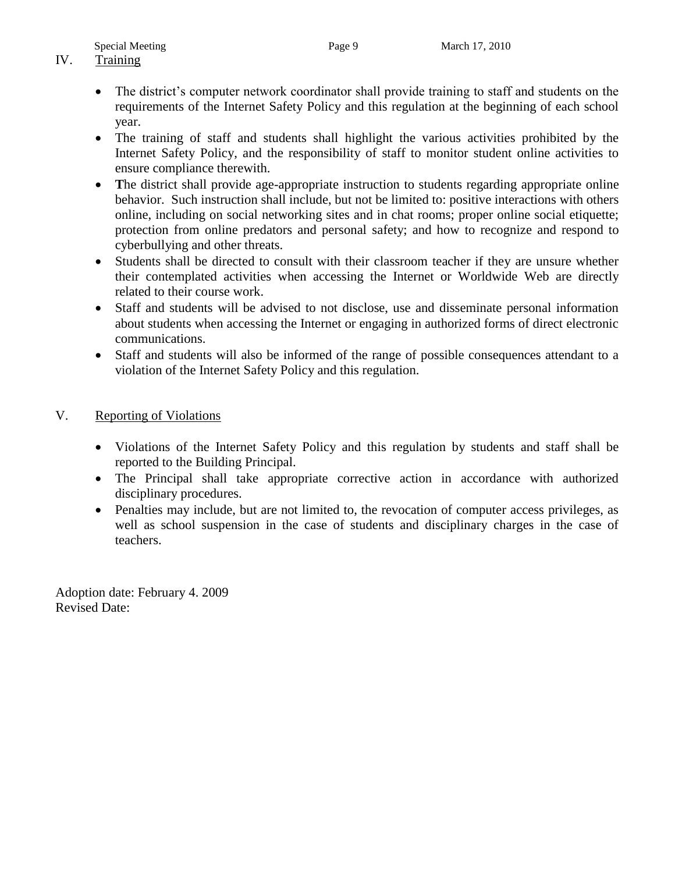# IV. Training

- The district's computer network coordinator shall provide training to staff and students on the requirements of the Internet Safety Policy and this regulation at the beginning of each school year.
- The training of staff and students shall highlight the various activities prohibited by the Internet Safety Policy, and the responsibility of staff to monitor student online activities to ensure compliance therewith.
- The district shall provide age-appropriate instruction to students regarding appropriate online behavior. Such instruction shall include, but not be limited to: positive interactions with others online, including on social networking sites and in chat rooms; proper online social etiquette; protection from online predators and personal safety; and how to recognize and respond to cyberbullying and other threats.
- Students shall be directed to consult with their classroom teacher if they are unsure whether their contemplated activities when accessing the Internet or Worldwide Web are directly related to their course work.
- Staff and students will be advised to not disclose, use and disseminate personal information about students when accessing the Internet or engaging in authorized forms of direct electronic communications.
- Staff and students will also be informed of the range of possible consequences attendant to a violation of the Internet Safety Policy and this regulation.

#### V. Reporting of Violations

- Violations of the Internet Safety Policy and this regulation by students and staff shall be reported to the Building Principal.
- The Principal shall take appropriate corrective action in accordance with authorized disciplinary procedures.
- Penalties may include, but are not limited to, the revocation of computer access privileges, as well as school suspension in the case of students and disciplinary charges in the case of teachers.

Adoption date: February 4. 2009 Revised Date: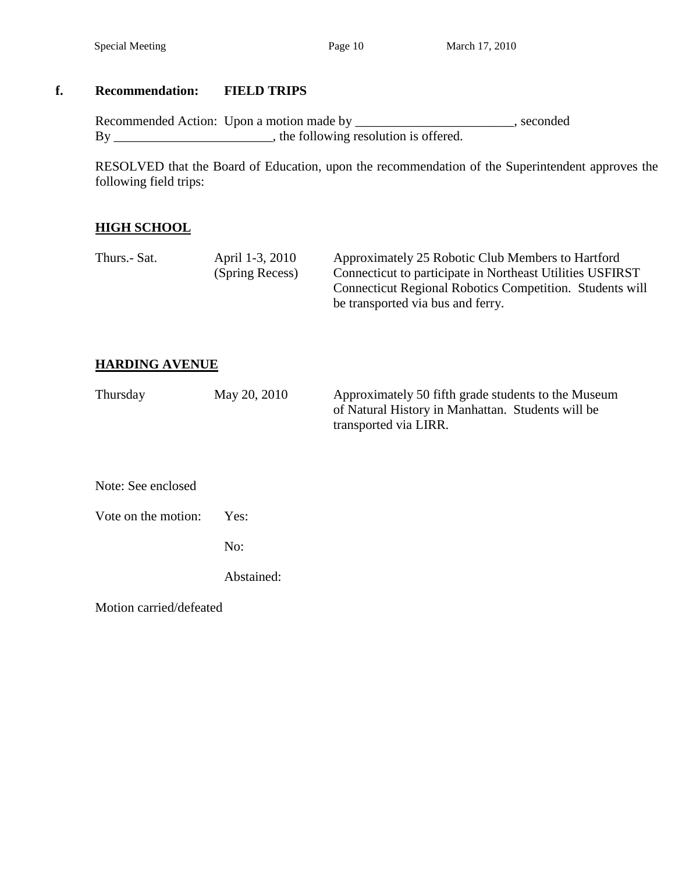## **f. Recommendation: FIELD TRIPS**

Recommended Action: Upon a motion made by \_\_\_\_\_\_\_\_\_\_\_\_\_\_\_\_\_\_\_\_\_\_\_, seconded By \_\_\_\_\_\_\_\_\_\_\_\_\_\_\_\_\_\_\_\_\_\_, the following resolution is offered.

RESOLVED that the Board of Education, upon the recommendation of the Superintendent approves the following field trips:

## **HIGH SCHOOL**

| Thurs.- Sat. | April 1-3, 2010 | Approximately 25 Robotic Club Members to Hartford         |
|--------------|-----------------|-----------------------------------------------------------|
|              | (Spring Recess) | Connecticut to participate in Northeast Utilities USFIRST |
|              |                 | Connecticut Regional Robotics Competition. Students will  |
|              |                 | be transported via bus and ferry.                         |

## **HARDING AVENUE**

| Thursday            | May 20, 2010 | Approximately 50 fifth grade students to the Museum<br>of Natural History in Manhattan. Students will be<br>transported via LIRR. |
|---------------------|--------------|-----------------------------------------------------------------------------------------------------------------------------------|
| Note: See enclosed  |              |                                                                                                                                   |
| Vote on the motion: | Yes:         |                                                                                                                                   |
|                     | No:          |                                                                                                                                   |

Abstained:

Motion carried/defeated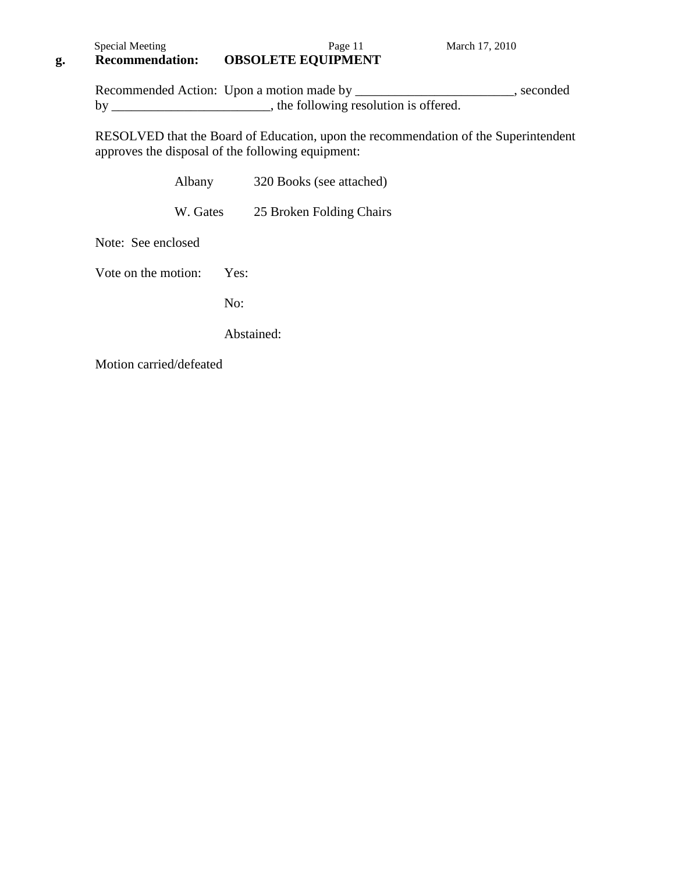## **g. Recommendation: OBSOLETE EQUIPMENT**

Recommended Action: Upon a motion made by \_\_\_\_\_\_\_\_\_\_\_\_\_\_\_\_\_\_\_\_\_\_\_, seconded by \_\_\_\_\_\_\_\_\_\_\_\_\_\_\_\_\_\_\_\_\_\_, the following resolution is offered.

RESOLVED that the Board of Education, upon the recommendation of the Superintendent approves the disposal of the following equipment:

| Albany              |      | 320 Books (see attached) |  |  |
|---------------------|------|--------------------------|--|--|
| W. Gates            |      | 25 Broken Folding Chairs |  |  |
| Note: See enclosed  |      |                          |  |  |
| Vote on the motion: | Yes: |                          |  |  |

No:

Abstained:

Motion carried/defeated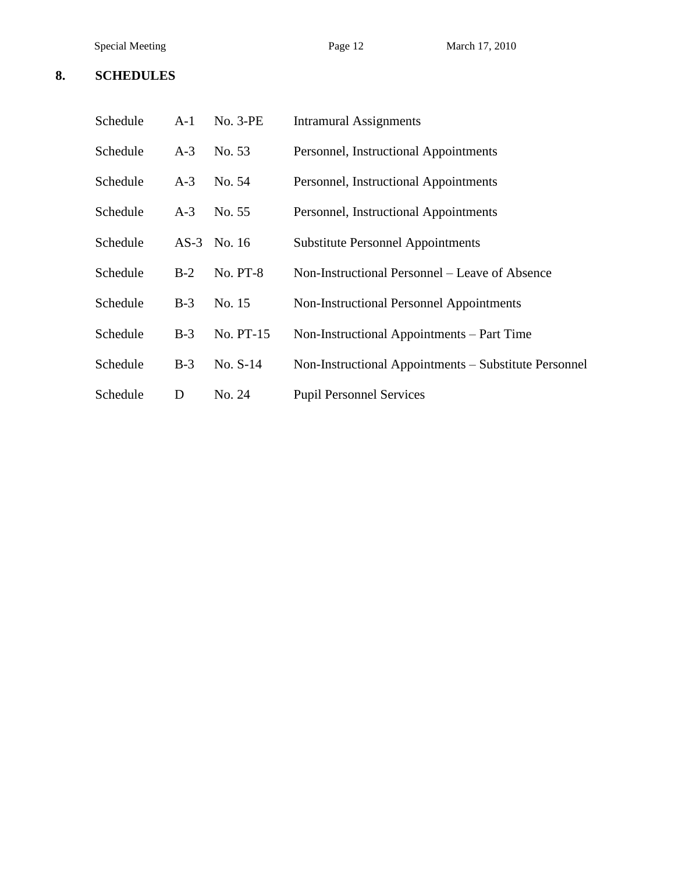#### **8. SCHEDULES**

| Schedule | $A-1$ | $No. 3-PE$      | <b>Intramural Assignments</b>                         |
|----------|-------|-----------------|-------------------------------------------------------|
| Schedule | $A-3$ | No. 53          | Personnel, Instructional Appointments                 |
| Schedule | $A-3$ | No. 54          | Personnel, Instructional Appointments                 |
| Schedule | $A-3$ | No. 55          | Personnel, Instructional Appointments                 |
| Schedule |       | AS-3 No. 16     | <b>Substitute Personnel Appointments</b>              |
| Schedule | $B-2$ | <b>No. PT-8</b> | Non-Instructional Personnel – Leave of Absence        |
| Schedule | $B-3$ | No. 15          | Non-Instructional Personnel Appointments              |
| Schedule | $B-3$ | No. PT-15       | Non-Instructional Appointments – Part Time            |
| Schedule | $B-3$ | $No. S-14$      | Non-Instructional Appointments – Substitute Personnel |
| Schedule | D     | No. 24          | <b>Pupil Personnel Services</b>                       |